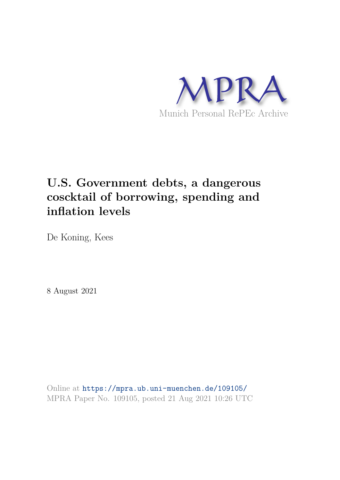

# **U.S. Government debts, a dangerous coscktail of borrowing, spending and inflation levels**

De Koning, Kees

8 August 2021

Online at https://mpra.ub.uni-muenchen.de/109105/ MPRA Paper No. 109105, posted 21 Aug 2021 10:26 UTC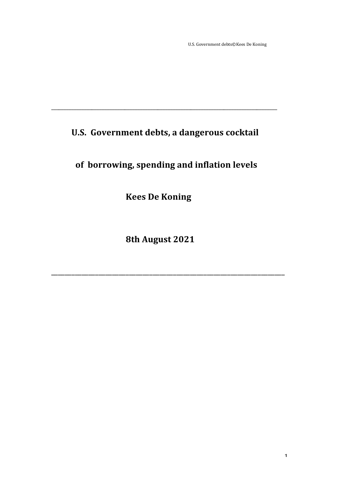U.S. Government debts©Kees De Koning

# U.S. Government debts, a dangerous cocktail

# of borrowing, spending and inflation levels

**Kees De Koning** 

8th August 2021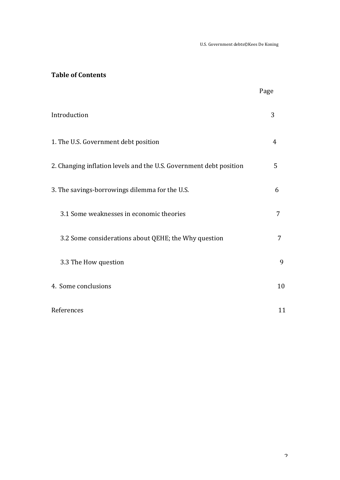U.S. Government debts©Kees De Koning

# **Table of Contents**

|                                                                    | Page |
|--------------------------------------------------------------------|------|
| Introduction                                                       | 3    |
| 1. The U.S. Government debt position                               | 4    |
| 2. Changing inflation levels and the U.S. Government debt position | 5    |
| 3. The savings-borrowings dilemma for the U.S.                     | 6    |
| 3.1 Some weaknesses in economic theories                           | 7    |
| 3.2 Some considerations about QEHE; the Why question               | 7    |
| 3.3 The How question                                               | 9    |
| 4. Some conclusions                                                | 10   |
| References                                                         | 11   |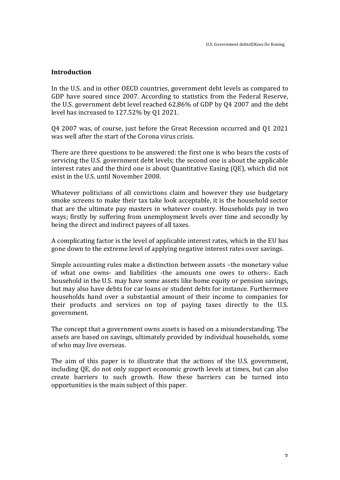#### **Introduction**

In the U.S. and in other OECD countries, government debt levels as compared to GDP have soared since 2007. According to statistics from the Federal Reserve, the U.S. government debt level reached  $62.86\%$  of GDP by Q4 2007 and the debt level has increased to  $127.52\%$  by Q1 2021.

Q4 2007 was, of course, just before the Great Recession occurred and Q1 2021 was well after the start of the Corona virus crisis.

There are three questions to be answered: the first one is who bears the costs of servicing the U.S. government debt levels; the second one is about the applicable interest rates and the third one is about Quantitative Easing  $(QE)$ , which did not exist in the U.S. until November 2008.

Whatever politicians of all convictions claim and however they use budgetary smoke screens to make their tax take look acceptable, it is the household sector that are the ultimate pay masters in whatever country. Households pay in two ways; firstly by suffering from unemployment levels over time and secondly by being the direct and indirect payees of all taxes.

A complicating factor is the level of applicable interest rates, which in the EU has gone down to the extreme level of applying negative interest rates over savings.

Simple accounting rules make a distinction between assets -the monetary value of what one owns- and liabilities -the amounts one owes to others-. Each household in the U.S. may have some assets like home equity or pension savings, but may also have debts for car loans or student debts for instance. Furthermore households hand over a substantial amount of their income to companies for their products and services on top of paying taxes directly to the U.S. government. 

The concept that a government owns assets is based on a misunderstanding. The assets are based on savings, ultimately provided by individual households, some of who may live overseas.

The aim of this paper is to illustrate that the actions of the U.S. government, including QE, do not only support economic growth levels at times, but can also create barriers to such growth. How these barriers can be turned into opportunities is the main subject of this paper.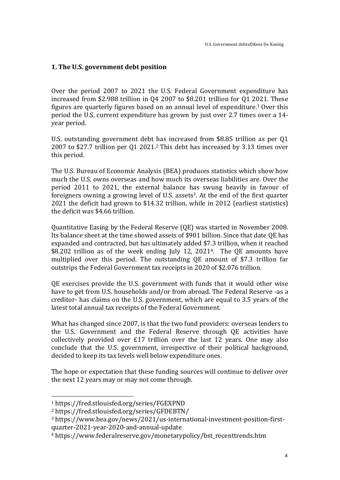## **1.** The U.S. government debt position

Over the period 2007 to 2021 the U.S. Federal Government expenditure has increased from  $$2.988$  trillion in  $04$  2007 to  $$8.201$  trillion for 01 2021. These figures are quarterly figures based on an annual level of expenditure.<sup>1</sup> Over this period the U.S. current expenditure has grown by just over 2.7 times over a 14vear period.

U.S. outstanding government debt has increased from \$8.85 trillion as per O1 2007 to \$27.7 trillion per Q1 2021.<sup>2</sup> This debt has increased by 3.13 times over this period.

The U.S. Bureau of Economic Analysis (BEA) produces statistics which show how much the U.S. owns overseas and how much its overseas liabilities are. Over the period  $2011$  to  $2021$ , the external balance has swung heavily in favour of foreigners owning a growing level of U.S. assets<sup>3</sup>. At the end of the first quarter 2021 the deficit had grown to \$14.32 trillion, while in 2012 (earliest statistics) the deficit was \$4.66 trillion.

Quantitative Easing by the Federal Reserve (QE) was started in November 2008. Its balance sheet at the time showed assets of \$901 billion. Since that date QE has expanded and contracted, but has ultimately added \$7.3 trillion, when it reached \$8.202 trillion as of the week ending July 12, 2021<sup>4</sup>. The QE amounts have multiplied over this period. The outstanding QE amount of \$7.3 trillion far outstrips the Federal Government tax receipts in 2020 of \$2.076 trillion.

QE exercises provide the U.S. government with funds that it would other wise have to get from U.S. households and/or from abroad. The Federal Reserve -as a creditor- has claims on the U.S. government, which are equal to 3.5 years of the latest total annual tax receipts of the Federal Government.

What has changed since 2007, is that the two fund providers: overseas lenders to the U.S. Government and the Federal Reserve through QE activities have collectively provided over  $£17$  trillion over the last 12 years. One may also conclude that the U.S. government, irrespective of their political background, decided to keep its tax levels well below expenditure ones.

The hope or expectation that these funding sources will continue to deliver over the next 12 years may or may not come through.

 

<sup>1</sup> https://fred.stlouisfed.org/series/FGEXPND

<sup>2</sup> https://fred.stlouisfed.org/series/GFDEBTN/

<sup>3</sup> https://www.bea.gov/news/2021/us-international-investment-position-firstquarter-2021-year-2020-and-annual-update

<sup>&</sup>lt;sup>4</sup> https://www.federalreserve.gov/monetarypolicy/bst\_recenttrends.htm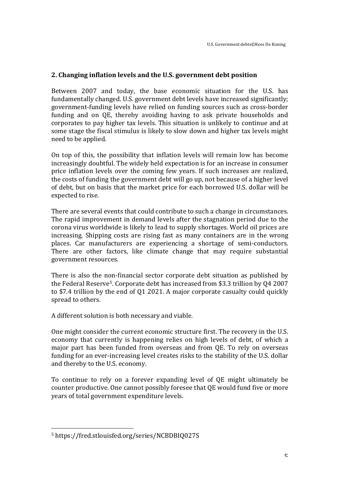# **2. Changing inflation levels and the U.S. government debt position**

Between 2007 and today, the base economic situation for the U.S. has fundamentally changed. U.S. government debt levels have increased significantly; government-funding levels have relied on funding sources such as cross-border funding and on QE, thereby avoiding having to ask private households and corporates to pay higher tax levels. This situation is unlikely to continue and at some stage the fiscal stimulus is likely to slow down and higher tax levels might need to be applied.

On top of this, the possibility that inflation levels will remain low has become increasingly doubtful. The widely held expectation is for an increase in consumer price inflation levels over the coming few years. If such increases are realized, the costs of funding the government debt will go up, not because of a higher level of debt, but on basis that the market price for each borrowed U.S. dollar will be expected to rise.

There are several events that could contribute to such a change in circumstances. The rapid improvement in demand levels after the stagnation period due to the corona virus worldwide is likely to lead to supply shortages. World oil prices are increasing. Shipping costs are rising fast as many containers are in the wrong places. Car manufacturers are experiencing a shortage of semi-conductors. There are other factors, like climate change that may require substantial government resources.

There is also the non-financial sector corporate debt situation as published by the Federal Reserve<sup>5</sup>. Corporate debt has increased from \$3.3 trillion by Q4 2007 to \$7.4 trillion by the end of Q1 2021. A major corporate casualty could quickly spread to others.

A different solution is both necessary and viable.

One might consider the current economic structure first. The recovery in the U.S. economy that currently is happening relies on high levels of debt, of which a major part has been funded from overseas and from QE. To rely on overseas funding for an ever-increasing level creates risks to the stability of the U.S. dollar and thereby to the U.S. economy.

To continue to rely on a forever expanding level of QE might ultimately be counter productive. One cannot possibly foresee that QE would fund five or more years of total government expenditure levels.

<u> 1989 - Jan Samuel Barbara, politik eta politik eta politik eta politik eta politik eta politik eta politik e</u>

<sup>5</sup> https://fred.stlouisfed.org/series/NCBDBIQ027S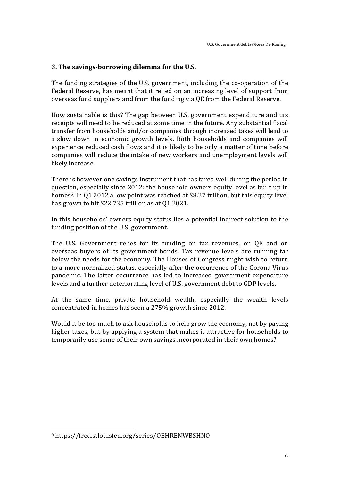# **3.** The savings-borrowing dilemma for the U.S.

The funding strategies of the U.S. government, including the co-operation of the Federal Reserve, has meant that it relied on an increasing level of support from overseas fund suppliers and from the funding via OE from the Federal Reserve.

How sustainable is this? The gap between U.S. government expenditure and tax receipts will need to be reduced at some time in the future. Any substantial fiscal transfer from households and/or companies through increased taxes will lead to a slow down in economic growth levels. Both households and companies will experience reduced cash flows and it is likely to be only a matter of time before companies will reduce the intake of new workers and unemployment levels will likely increase. 

There is however one savings instrument that has fared well during the period in question, especially since 2012: the household owners equity level as built up in homes<sup>6</sup>. In Q1 2012 a low point was reached at \$8.27 trillion, but this equity level has grown to hit  $$22.735$  trillion as at 01 2021.

In this households' owners equity status lies a potential indirect solution to the funding position of the U.S. government.

The U.S. Government relies for its funding on tax revenues, on QE and on overseas buyers of its government bonds. Tax revenue levels are running far below the needs for the economy. The Houses of Congress might wish to return to a more normalized status, especially after the occurrence of the Corona Virus pandemic. The latter occurrence has led to increased government expenditure levels and a further deteriorating level of U.S. government debt to GDP levels.

At the same time, private household wealth, especially the wealth levels concentrated in homes has seen a 275% growth since 2012.

Would it be too much to ask households to help grow the economy, not by paying higher taxes, but by applying a system that makes it attractive for households to temporarily use some of their own savings incorporated in their own homes?

<u> 1989 - Jan Samuel Barbara, politik eta politik eta politik eta politik eta politik eta politik eta politik e</u>

<sup>6</sup> https://fred.stlouisfed.org/series/OEHRENWBSHNO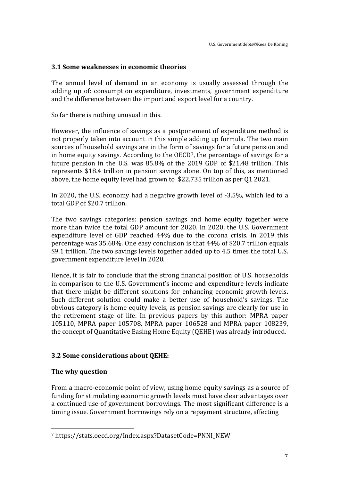# **3.1 Some weaknesses in economic theories**

The annual level of demand in an economy is usually assessed through the adding up of: consumption expenditure, investments, government expenditure and the difference between the import and export level for a country.

So far there is nothing unusual in this.

However, the influence of savings as a postponement of expenditure method is not properly taken into account in this simple adding up formula. The two main sources of household savings are in the form of savings for a future pension and in home equity savings. According to the  $OECD<sup>7</sup>$ , the percentage of savings for a future pension in the U.S. was  $85.8\%$  of the 2019 GDP of \$21.48 trillion. This represents \$18.4 trillion in pension savings alone. On top of this, as mentioned above, the home equity level had grown to  $$22.735$  trillion as per Q1 2021.

In 2020, the U.S. economy had a negative growth level of -3.5%, which led to a total GDP of \$20.7 trillion.

The two savings categories: pension savings and home equity together were more than twice the total GDP amount for  $2020$ . In  $2020$ , the U.S. Government expenditure level of GDP reached 44% due to the corona crisis. In 2019 this percentage was  $35.68\%$ . One easy conclusion is that  $44\%$  of \$20.7 trillion equals \$9.1 trillion. The two savings levels together added up to 4.5 times the total U.S. government expenditure level in 2020.

Hence, it is fair to conclude that the strong financial position of U.S. households in comparison to the U.S. Government's income and expenditure levels indicate that there might be different solutions for enhancing economic growth levels. Such different solution could make a better use of household's savings. The obvious category is home equity levels, as pension savings are clearly for use in the retirement stage of life. In previous papers by this author: MPRA paper 105110, MPRA paper 105708, MPRA paper 106528 and MPRA paper 108239, the concept of Quantitative Easing Home Equity (QEHE) was already introduced.

# **3.2 Some considerations about QEHE:**

#### **The why question**

 

From a macro-economic point of view, using home equity savings as a source of funding for stimulating economic growth levels must have clear advantages over a continued use of government borrowings. The most significant difference is a timing issue. Government borrowings rely on a repayment structure, affecting

<sup>7</sup> https://stats.oecd.org/Index.aspx?DatasetCode=PNNI\_NEW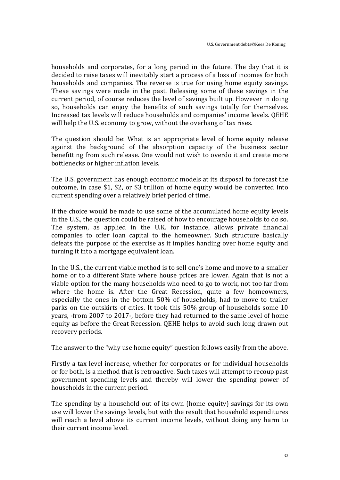households and corporates, for a long period in the future. The day that it is decided to raise taxes will inevitably start a process of a loss of incomes for both households and companies. The reverse is true for using home equity savings. These savings were made in the past. Releasing some of these savings in the current period, of course reduces the level of savings built up. However in doing so, households can enjoy the benefits of such savings totally for themselves. Increased tax levels will reduce households and companies' income levels. QEHE will help the U.S. economy to grow, without the overhang of tax rises.

The question should be: What is an appropriate level of home equity release against the background of the absorption capacity of the business sector benefitting from such release. One would not wish to overdo it and create more bottlenecks or higher inflation levels.

The U.S. government has enough economic models at its disposal to forecast the outcome, in case \$1, \$2, or \$3 trillion of home equity would be converted into current spending over a relatively brief period of time.

If the choice would be made to use some of the accumulated home equity levels in the U.S., the question could be raised of how to encourage households to do so. The system, as applied in the U.K. for instance, allows private financial companies to offer loan capital to the homeowner. Such structure basically defeats the purpose of the exercise as it implies handing over home equity and turning it into a mortgage equivalent loan.

In the U.S., the current viable method is to sell one's home and move to a smaller home or to a different State where house prices are lower. Again that is not a viable option for the many households who need to go to work, not too far from where the home is. After the Great Recession, quite a few homeowners, especially the ones in the bottom 50% of households, had to move to trailer parks on the outskirts of cities. It took this 50% group of households some 10 years, -from 2007 to 2017-, before they had returned to the same level of home equity as before the Great Recession. QEHE helps to avoid such long drawn out recovery periods.

The answer to the "why use home equity" question follows easily from the above.

Firstly a tax level increase, whether for corporates or for individual households or for both, is a method that is retroactive. Such taxes will attempt to recoup past government spending levels and thereby will lower the spending power of households in the current period.

The spending by a household out of its own (home equity) savings for its own use will lower the savings levels, but with the result that household expenditures will reach a level above its current income levels, without doing any harm to their current income level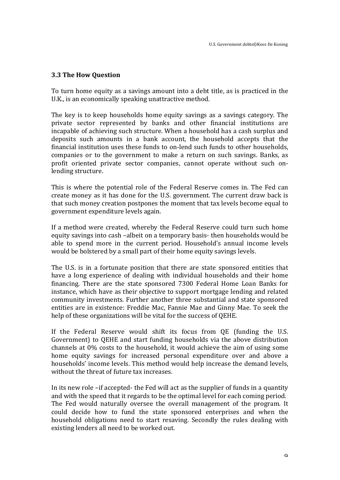### **3.3 The How Question**

To turn home equity as a savings amount into a debt title, as is practiced in the U.K., is an economically speaking unattractive method.

The key is to keep households home equity savings as a savings category. The private sector represented by banks and other financial institutions are incapable of achieving such structure. When a household has a cash surplus and deposits such amounts in a bank account, the household accepts that the financial institution uses these funds to on-lend such funds to other households, companies or to the government to make a return on such savings. Banks, as profit oriented private sector companies, cannot operate without such onlending structure.

This is where the potential role of the Federal Reserve comes in. The Fed can create money as it has done for the U.S. government. The current draw back is that such money creation postpones the moment that tax levels become equal to government expenditure levels again.

If a method were created, whereby the Federal Reserve could turn such home equity savings into cash –albeit on a temporary basis- then households would be able to spend more in the current period. Household's annual income levels would be bolstered by a small part of their home equity savings levels.

The U.S. is in a fortunate position that there are state sponsored entities that have a long experience of dealing with individual households and their home financing. There are the state sponsored 7300 Federal Home Loan Banks for instance, which have as their objective to support mortgage lending and related community investments. Further another three substantial and state sponsored entities are in existence: Freddie Mac, Fannie Mae and Ginny Mae. To seek the help of these organizations will be vital for the success of QEHE.

If the Federal Reserve would shift its focus from QE (funding the U.S. Government) to QEHE and start funding households via the above distribution channels at  $0\%$  costs to the household, it would achieve the aim of using some home equity savings for increased personal expenditure over and above a households' income levels. This method would help increase the demand levels, without the threat of future tax increases.

In its new role –if accepted- the Fed will act as the supplier of funds in a quantity and with the speed that it regards to be the optimal level for each coming period. The Fed would naturally oversee the overall management of the program. It could decide how to fund the state sponsored enterprises and when the household obligations need to start resaving. Secondly the rules dealing with existing lenders all need to be worked out.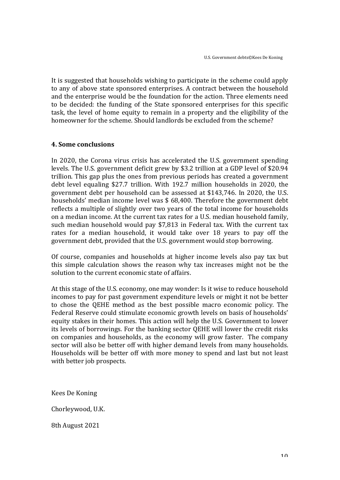It is suggested that households wishing to participate in the scheme could apply to any of above state sponsored enterprises. A contract between the household and the enterprise would be the foundation for the action. Three elements need to be decided: the funding of the State sponsored enterprises for this specific task, the level of home equity to remain in a property and the eligibility of the homeowner for the scheme. Should landlords be excluded from the scheme?

### **4. Some conclusions**

In 2020, the Corona virus crisis has accelerated the U.S. government spending levels. The U.S. government deficit grew by \$3.2 trillion at a GDP level of \$20.94 trillion. This gap plus the ones from previous periods has created a government debt level equaling \$27.7 trillion. With 192.7 million households in 2020, the government debt per household can be assessed at \$143,746. In 2020, the U.S. households' median income level was  $$68,400$ . Therefore the government debt reflects a multiple of slightly over two years of the total income for households on a median income. At the current tax rates for a U.S. median household family, such median household would pay \$7,813 in Federal tax. With the current tax rates for a median household, it would take over 18 years to pay off the government debt, provided that the U.S. government would stop borrowing.

Of course, companies and households at higher income levels also pay tax but this simple calculation shows the reason why tax increases might not be the solution to the current economic state of affairs.

At this stage of the U.S. economy, one may wonder: Is it wise to reduce household incomes to pay for past government expenditure levels or might it not be better to chose the QEHE method as the best possible macro economic policy. The Federal Reserve could stimulate economic growth levels on basis of households' equity stakes in their homes. This action will help the U.S. Government to lower its levels of borrowings. For the banking sector QEHE will lower the credit risks on companies and households, as the economy will grow faster. The company sector will also be better off with higher demand levels from many households. Households will be better off with more money to spend and last but not least with better job prospects.

Kees De Koning

Chorleywood, U.K.

8th August 2021